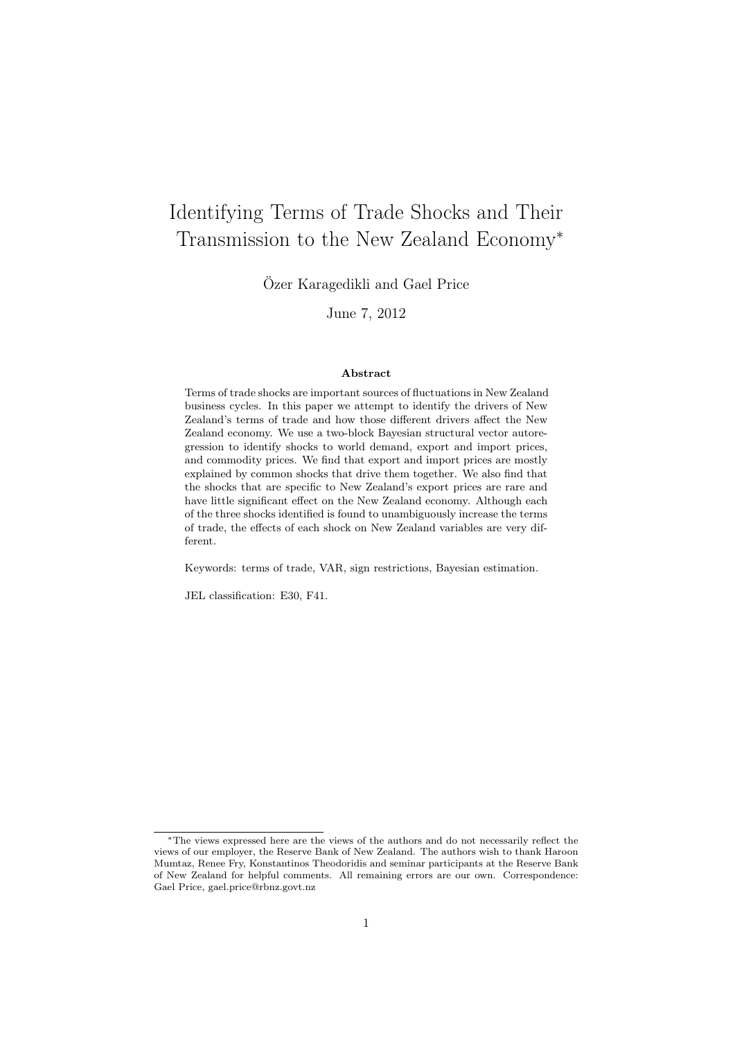# <span id="page-0-0"></span>Identifying Terms of Trade Shocks and Their Transmission to the New Zealand Economy<sup>∗</sup>

Özer Karagedikli and Gael Price

June 7, 2012

#### Abstract

Terms of trade shocks are important sources of fluctuations in New Zealand business cycles. In this paper we attempt to identify the drivers of New Zealand's terms of trade and how those different drivers affect the New Zealand economy. We use a two-block Bayesian structural vector autoregression to identify shocks to world demand, export and import prices, and commodity prices. We find that export and import prices are mostly explained by common shocks that drive them together. We also find that the shocks that are specific to New Zealand's export prices are rare and have little significant effect on the New Zealand economy. Although each of the three shocks identified is found to unambiguously increase the terms of trade, the effects of each shock on New Zealand variables are very different.

Keywords: terms of trade, VAR, sign restrictions, Bayesian estimation.

JEL classification: E30, F41.

<sup>∗</sup>The views expressed here are the views of the authors and do not necessarily reflect the views of our employer, the Reserve Bank of New Zealand. The authors wish to thank Haroon Mumtaz, Renee Fry, Konstantinos Theodoridis and seminar participants at the Reserve Bank of New Zealand for helpful comments. All remaining errors are our own. Correspondence: Gael Price, gael.price@rbnz.govt.nz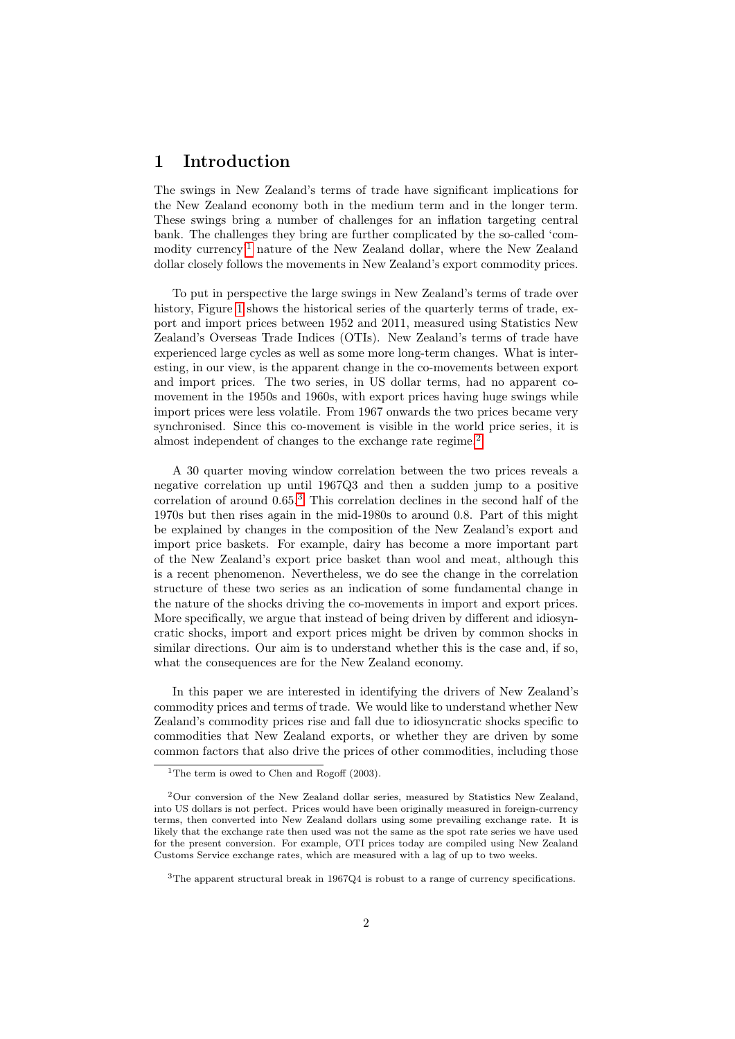### <span id="page-1-0"></span>1 Introduction

The swings in New Zealand's terms of trade have significant implications for the New Zealand economy both in the medium term and in the longer term. These swings bring a number of challenges for an inflation targeting central bank. The challenges they bring are further complicated by the so-called 'commodity currency'[1](#page-0-0) nature of the New Zealand dollar, where the New Zealand dollar closely follows the movements in New Zealand's export commodity prices.

To put in perspective the large swings in New Zealand's terms of trade over history, Figure [1](#page-2-0) shows the historical series of the quarterly terms of trade, export and import prices between 1952 and 2011, measured using Statistics New Zealand's Overseas Trade Indices (OTIs). New Zealand's terms of trade have experienced large cycles as well as some more long-term changes. What is interesting, in our view, is the apparent change in the co-movements between export and import prices. The two series, in US dollar terms, had no apparent comovement in the 1950s and 1960s, with export prices having huge swings while import prices were less volatile. From 1967 onwards the two prices became very synchronised. Since this co-movement is visible in the world price series, it is almost independent of changes to the exchange rate regime.<sup>[2](#page-0-0)</sup>

A 30 quarter moving window correlation between the two prices reveals a negative correlation up until 1967Q3 and then a sudden jump to a positive correlation of around  $0.65<sup>3</sup>$  $0.65<sup>3</sup>$  $0.65<sup>3</sup>$ . This correlation declines in the second half of the 1970s but then rises again in the mid-1980s to around 0.8. Part of this might be explained by changes in the composition of the New Zealand's export and import price baskets. For example, dairy has become a more important part of the New Zealand's export price basket than wool and meat, although this is a recent phenomenon. Nevertheless, we do see the change in the correlation structure of these two series as an indication of some fundamental change in the nature of the shocks driving the co-movements in import and export prices. More specifically, we argue that instead of being driven by different and idiosyncratic shocks, import and export prices might be driven by common shocks in similar directions. Our aim is to understand whether this is the case and, if so, what the consequences are for the New Zealand economy.

In this paper we are interested in identifying the drivers of New Zealand's commodity prices and terms of trade. We would like to understand whether New Zealand's commodity prices rise and fall due to idiosyncratic shocks specific to commodities that New Zealand exports, or whether they are driven by some common factors that also drive the prices of other commodities, including those

 $\overline{^{1}$ The term is owed to Chen and Rogoff (2003).

<sup>2</sup>Our conversion of the New Zealand dollar series, measured by Statistics New Zealand, into US dollars is not perfect. Prices would have been originally measured in foreign-currency terms, then converted into New Zealand dollars using some prevailing exchange rate. It is likely that the exchange rate then used was not the same as the spot rate series we have used for the present conversion. For example, OTI prices today are compiled using New Zealand Customs Service exchange rates, which are measured with a lag of up to two weeks.

<sup>&</sup>lt;sup>3</sup>The apparent structural break in 1967Q4 is robust to a range of currency specifications.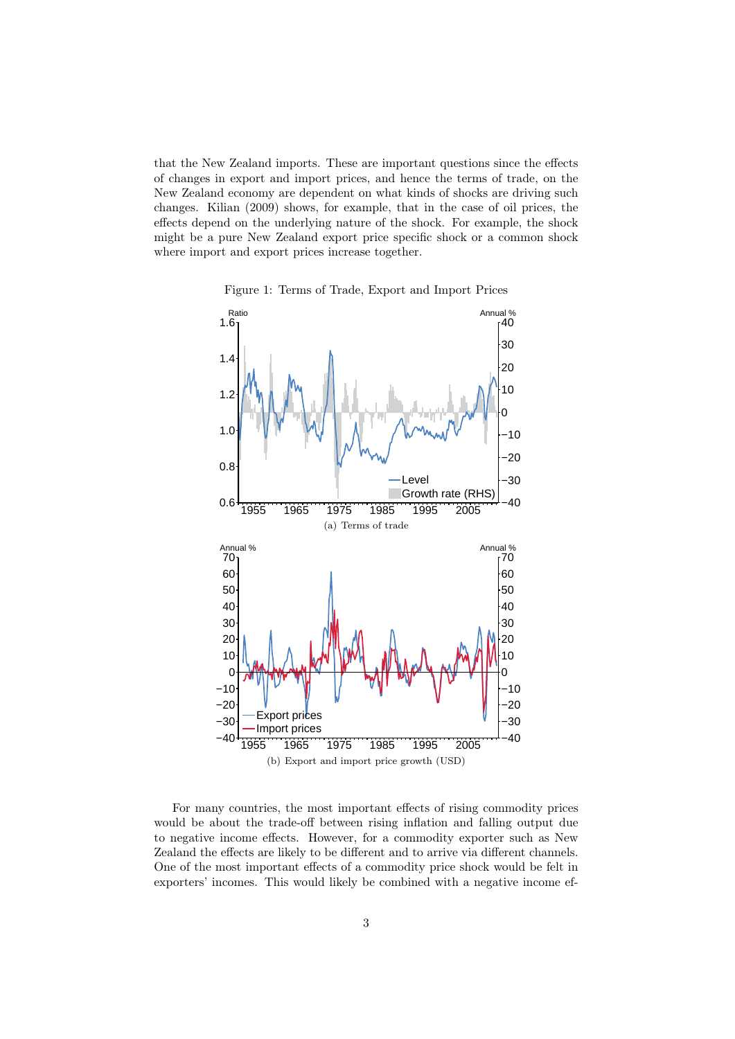that the New Zealand imports. These are important questions since the effects of changes in export and import prices, and hence the terms of trade, on the New Zealand economy are dependent on what kinds of shocks are driving such changes. Kilian (2009) shows, for example, that in the case of oil prices, the effects depend on the underlying nature of the shock. For example, the shock might be a pure New Zealand export price specific shock or a common shock where import and export prices increase together.



<span id="page-2-0"></span>Figure 1: Terms of Trade, Export and Import Prices

For many countries, the most important effects of rising commodity prices would be about the trade-off between rising inflation and falling output due to negative income effects. However, for a commodity exporter such as New Zealand the effects are likely to be different and to arrive via different channels. One of the most important effects of a commodity price shock would be felt in exporters' incomes. This would likely be combined with a negative income ef-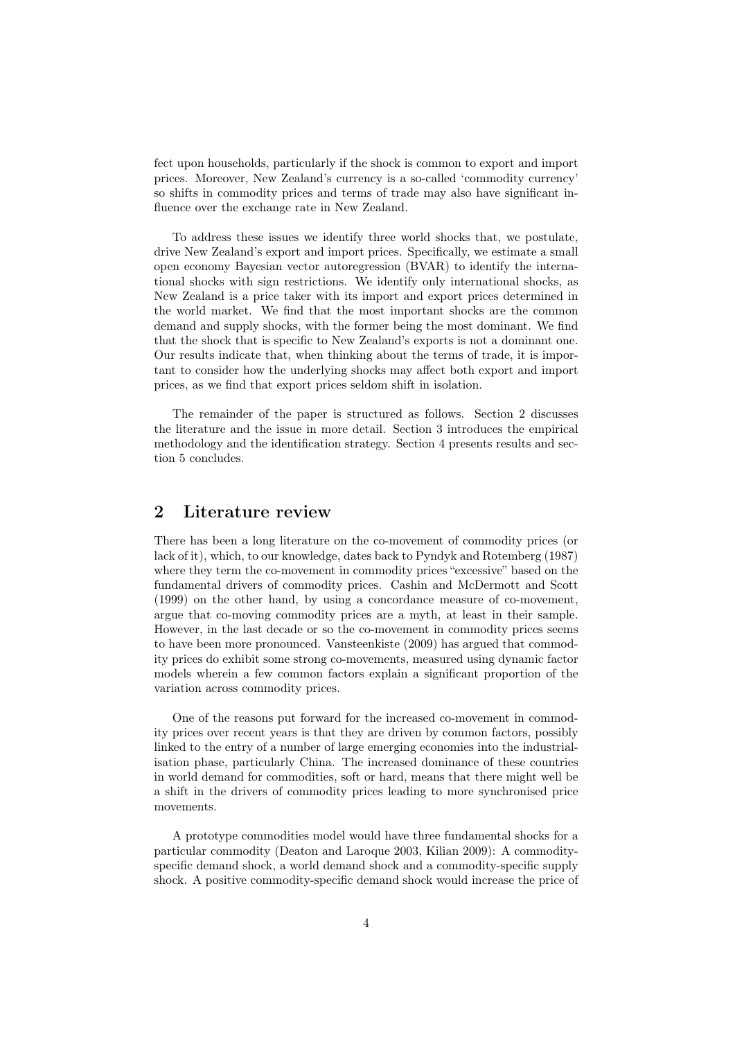fect upon households, particularly if the shock is common to export and import prices. Moreover, New Zealand's currency is a so-called 'commodity currency' so shifts in commodity prices and terms of trade may also have significant influence over the exchange rate in New Zealand.

To address these issues we identify three world shocks that, we postulate, drive New Zealand's export and import prices. Specifically, we estimate a small open economy Bayesian vector autoregression (BVAR) to identify the international shocks with sign restrictions. We identify only international shocks, as New Zealand is a price taker with its import and export prices determined in the world market. We find that the most important shocks are the common demand and supply shocks, with the former being the most dominant. We find that the shock that is specific to New Zealand's exports is not a dominant one. Our results indicate that, when thinking about the terms of trade, it is important to consider how the underlying shocks may affect both export and import prices, as we find that export prices seldom shift in isolation.

The remainder of the paper is structured as follows. Section 2 discusses the literature and the issue in more detail. Section 3 introduces the empirical methodology and the identification strategy. Section 4 presents results and section 5 concludes.

# 2 Literature review

There has been a long literature on the co-movement of commodity prices (or lack of it), which, to our knowledge, dates back to Pyndyk and Rotemberg (1987) where they term the co-movement in commodity prices "excessive" based on the fundamental drivers of commodity prices. Cashin and McDermott and Scott (1999) on the other hand, by using a concordance measure of co-movement, argue that co-moving commodity prices are a myth, at least in their sample. However, in the last decade or so the co-movement in commodity prices seems to have been more pronounced. Vansteenkiste (2009) has argued that commodity prices do exhibit some strong co-movements, measured using dynamic factor models wherein a few common factors explain a significant proportion of the variation across commodity prices.

One of the reasons put forward for the increased co-movement in commodity prices over recent years is that they are driven by common factors, possibly linked to the entry of a number of large emerging economies into the industrialisation phase, particularly China. The increased dominance of these countries in world demand for commodities, soft or hard, means that there might well be a shift in the drivers of commodity prices leading to more synchronised price movements.

A prototype commodities model would have three fundamental shocks for a particular commodity (Deaton and Laroque 2003, Kilian 2009): A commodityspecific demand shock, a world demand shock and a commodity-specific supply shock. A positive commodity-specific demand shock would increase the price of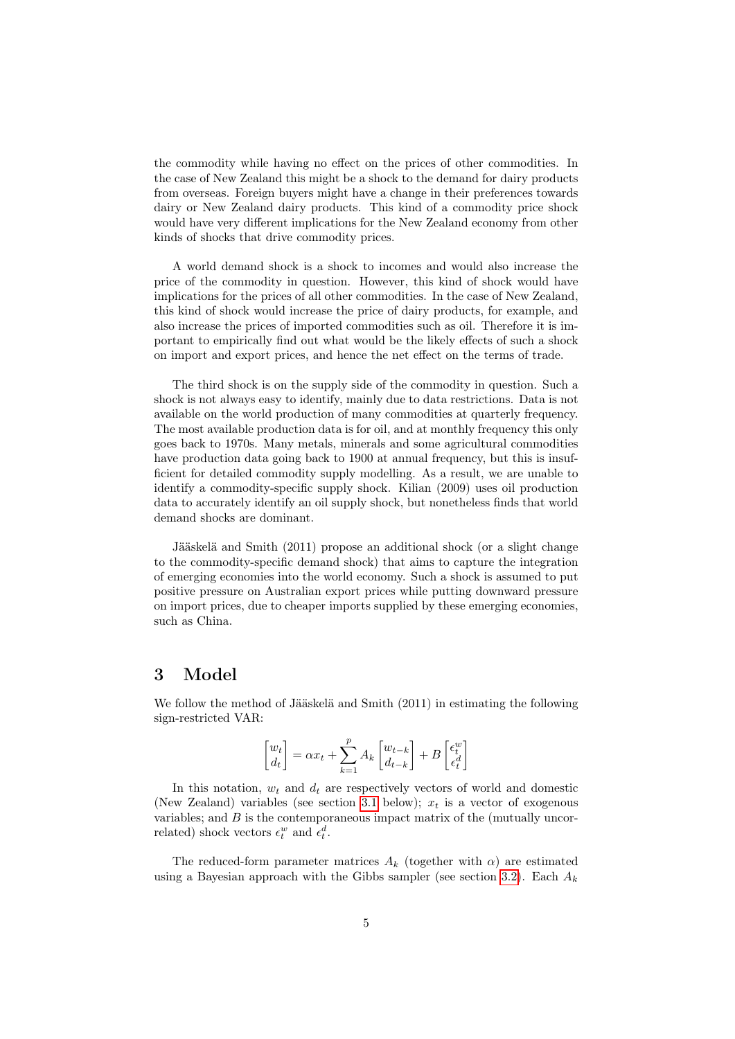the commodity while having no effect on the prices of other commodities. In the case of New Zealand this might be a shock to the demand for dairy products from overseas. Foreign buyers might have a change in their preferences towards dairy or New Zealand dairy products. This kind of a commodity price shock would have very different implications for the New Zealand economy from other kinds of shocks that drive commodity prices.

A world demand shock is a shock to incomes and would also increase the price of the commodity in question. However, this kind of shock would have implications for the prices of all other commodities. In the case of New Zealand, this kind of shock would increase the price of dairy products, for example, and also increase the prices of imported commodities such as oil. Therefore it is important to empirically find out what would be the likely effects of such a shock on import and export prices, and hence the net effect on the terms of trade.

The third shock is on the supply side of the commodity in question. Such a shock is not always easy to identify, mainly due to data restrictions. Data is not available on the world production of many commodities at quarterly frequency. The most available production data is for oil, and at monthly frequency this only goes back to 1970s. Many metals, minerals and some agricultural commodities have production data going back to 1900 at annual frequency, but this is insufficient for detailed commodity supply modelling. As a result, we are unable to identify a commodity-specific supply shock. Kilian (2009) uses oil production data to accurately identify an oil supply shock, but nonetheless finds that world demand shocks are dominant.

Jääskelä and Smith (2011) propose an additional shock (or a slight change to the commodity-specific demand shock) that aims to capture the integration of emerging economies into the world economy. Such a shock is assumed to put positive pressure on Australian export prices while putting downward pressure on import prices, due to cheaper imports supplied by these emerging economies, such as China.

### 3 Model

We follow the method of Jääskelä and Smith (2011) in estimating the following sign-restricted VAR:

$$
\begin{bmatrix} w_t \\ d_t \end{bmatrix} = \alpha x_t + \sum_{k=1}^p A_k \begin{bmatrix} w_{t-k} \\ d_{t-k} \end{bmatrix} + B \begin{bmatrix} \epsilon_t^w \\ \epsilon_t^d \end{bmatrix}
$$

In this notation,  $w_t$  and  $d_t$  are respectively vectors of world and domestic (New Zealand) variables (see section [3.1](#page-5-0) below);  $x_t$  is a vector of exogenous variables; and  $B$  is the contemporaneous impact matrix of the (mutually uncorrelated) shock vectors  $\epsilon_t^w$  and  $\epsilon_t^d$ .

The reduced-form parameter matrices  $A_k$  (together with  $\alpha$ ) are estimated using a Bayesian approach with the Gibbs sampler (see section [3.2\)](#page-6-0). Each  $A_k$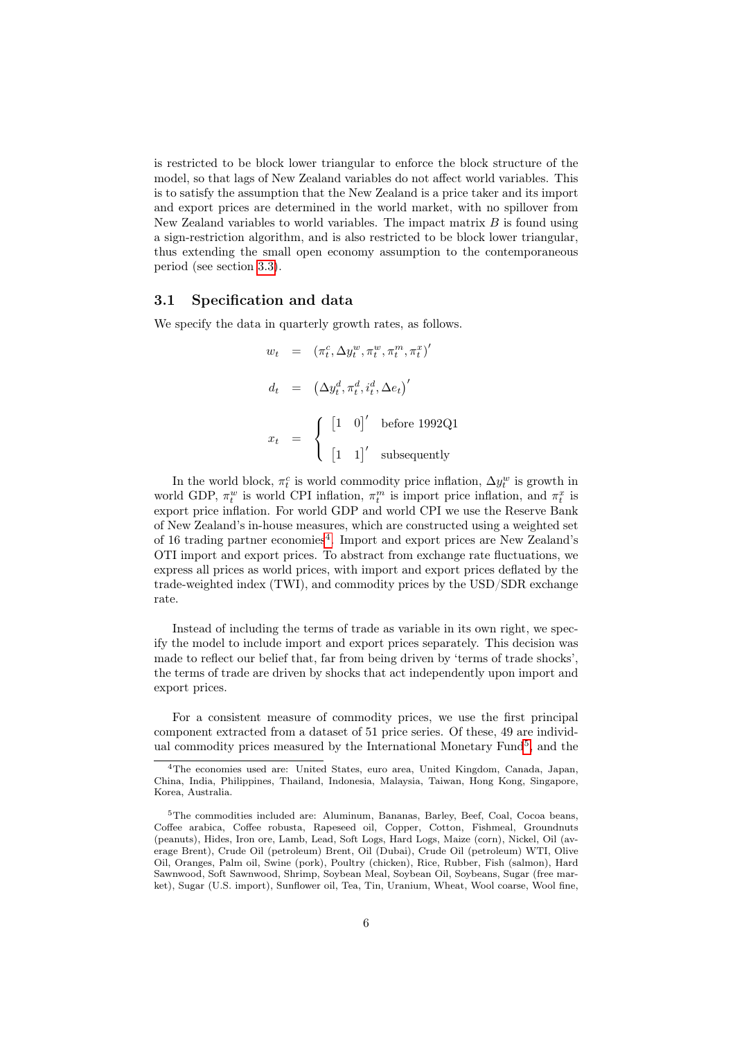is restricted to be block lower triangular to enforce the block structure of the model, so that lags of New Zealand variables do not affect world variables. This is to satisfy the assumption that the New Zealand is a price taker and its import and export prices are determined in the world market, with no spillover from New Zealand variables to world variables. The impact matrix  $B$  is found using a sign-restriction algorithm, and is also restricted to be block lower triangular, thus extending the small open economy assumption to the contemporaneous period (see section [3.3\)](#page-6-1).

#### <span id="page-5-0"></span>3.1 Specification and data

We specify the data in quarterly growth rates, as follows.

$$
w_t = (\pi_t^c, \Delta y_t^w, \pi_t^w, \pi_t^m, \pi_t^x)'
$$
  
\n
$$
d_t = (\Delta y_t^d, \pi_t^d, i_t^d, \Delta e_t)'
$$
  
\n
$$
x_t = \begin{cases} \begin{bmatrix} 1 & 0 \end{bmatrix}' & \text{before } 1992 \text{Q1} \\ \begin{bmatrix} 1 & 1 \end{bmatrix}' & \text{subsequently} \end{cases}
$$

In the world block,  $\pi_t^c$  is world commodity price inflation,  $\Delta y_t^w$  is growth in world GDP,  $\pi_t^w$  is world CPI inflation,  $\pi_t^m$  is import price inflation, and  $\pi_t^x$  is export price inflation. For world GDP and world CPI we use the Reserve Bank of New Zealand's in-house measures, which are constructed using a weighted set of 16 trading partner economies<sup>[4](#page-0-0)</sup>. Import and export prices are New Zealand's OTI import and export prices. To abstract from exchange rate fluctuations, we express all prices as world prices, with import and export prices deflated by the trade-weighted index (TWI), and commodity prices by the USD/SDR exchange rate.

Instead of including the terms of trade as variable in its own right, we specify the model to include import and export prices separately. This decision was made to reflect our belief that, far from being driven by 'terms of trade shocks', the terms of trade are driven by shocks that act independently upon import and export prices.

For a consistent measure of commodity prices, we use the first principal component extracted from a dataset of 51 price series. Of these, 49 are individ-ual commodity prices measured by the International Monetary Fund<sup>[5](#page-0-0)</sup>, and the

 $4$ The economies used are: United States, euro area, United Kingdom, Canada, Japan, China, India, Philippines, Thailand, Indonesia, Malaysia, Taiwan, Hong Kong, Singapore, Korea, Australia.

<sup>5</sup>The commodities included are: Aluminum, Bananas, Barley, Beef, Coal, Cocoa beans, Coffee arabica, Coffee robusta, Rapeseed oil, Copper, Cotton, Fishmeal, Groundnuts (peanuts), Hides, Iron ore, Lamb, Lead, Soft Logs, Hard Logs, Maize (corn), Nickel, Oil (average Brent), Crude Oil (petroleum) Brent, Oil (Dubai), Crude Oil (petroleum) WTI, Olive Oil, Oranges, Palm oil, Swine (pork), Poultry (chicken), Rice, Rubber, Fish (salmon), Hard Sawnwood, Soft Sawnwood, Shrimp, Soybean Meal, Soybean Oil, Soybeans, Sugar (free market), Sugar (U.S. import), Sunflower oil, Tea, Tin, Uranium, Wheat, Wool coarse, Wool fine,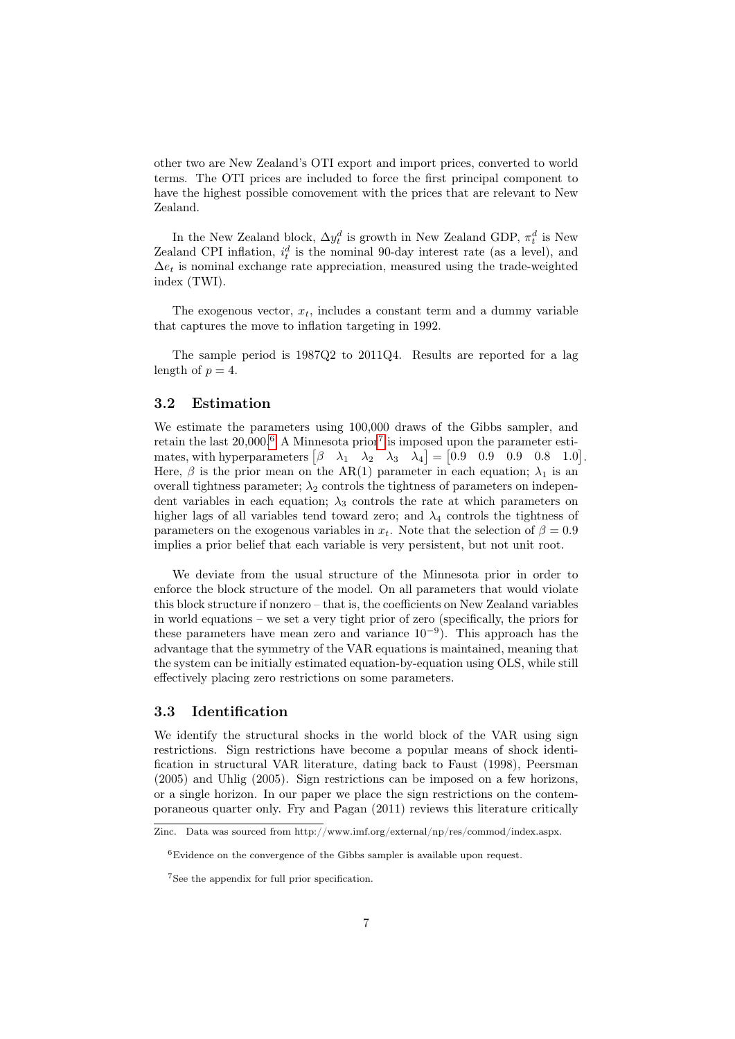other two are New Zealand's OTI export and import prices, converted to world terms. The OTI prices are included to force the first principal component to have the highest possible comovement with the prices that are relevant to New Zealand.

In the New Zealand block,  $\Delta y_t^d$  is growth in New Zealand GDP,  $\pi_t^d$  is New Zealand CPI inflation,  $i_t^d$  is the nominal 90-day interest rate (as a level), and  $\Delta e_t$  is nominal exchange rate appreciation, measured using the trade-weighted index (TWI).

The exogenous vector,  $x_t$ , includes a constant term and a dummy variable that captures the move to inflation targeting in 1992.

The sample period is 1987Q2 to 2011Q4. Results are reported for a lag length of  $p = 4$ .

### <span id="page-6-0"></span>3.2 Estimation

We estimate the parameters using 100,000 draws of the Gibbs sampler, and retain the last  $20,000$ <sup>[6](#page-0-0)</sup> A Minnesota prior<sup>[7](#page-0-0)</sup> is imposed upon the parameter estimates, with hyperparameters  $\begin{bmatrix} \beta & \lambda_1 & \lambda_2 & \lambda_3 & \lambda_4 \end{bmatrix} = \begin{bmatrix} 0.9 & 0.9 & 0.9 & 0.8 & 1.0 \end{bmatrix}$ . Here,  $\beta$  is the prior mean on the AR(1) parameter in each equation;  $\lambda_1$  is an overall tightness parameter;  $\lambda_2$  controls the tightness of parameters on independent variables in each equation;  $\lambda_3$  controls the rate at which parameters on higher lags of all variables tend toward zero; and  $\lambda_4$  controls the tightness of parameters on the exogenous variables in  $x_t$ . Note that the selection of  $\beta = 0.9$ implies a prior belief that each variable is very persistent, but not unit root.

We deviate from the usual structure of the Minnesota prior in order to enforce the block structure of the model. On all parameters that would violate this block structure if nonzero – that is, the coefficients on New Zealand variables in world equations – we set a very tight prior of zero (specifically, the priors for these parameters have mean zero and variance  $10^{-9}$ ). This approach has the advantage that the symmetry of the VAR equations is maintained, meaning that the system can be initially estimated equation-by-equation using OLS, while still effectively placing zero restrictions on some parameters.

### <span id="page-6-1"></span>3.3 Identification

We identify the structural shocks in the world block of the VAR using sign restrictions. Sign restrictions have become a popular means of shock identification in structural VAR literature, dating back to Faust (1998), Peersman (2005) and Uhlig (2005). Sign restrictions can be imposed on a few horizons, or a single horizon. In our paper we place the sign restrictions on the contemporaneous quarter only. Fry and Pagan (2011) reviews this literature critically

Zinc. Data was sourced from http://www.imf.org/external/np/res/commod/index.aspx.

<sup>6</sup>Evidence on the convergence of the Gibbs sampler is available upon request.

<sup>7</sup>See the appendix for full prior specification.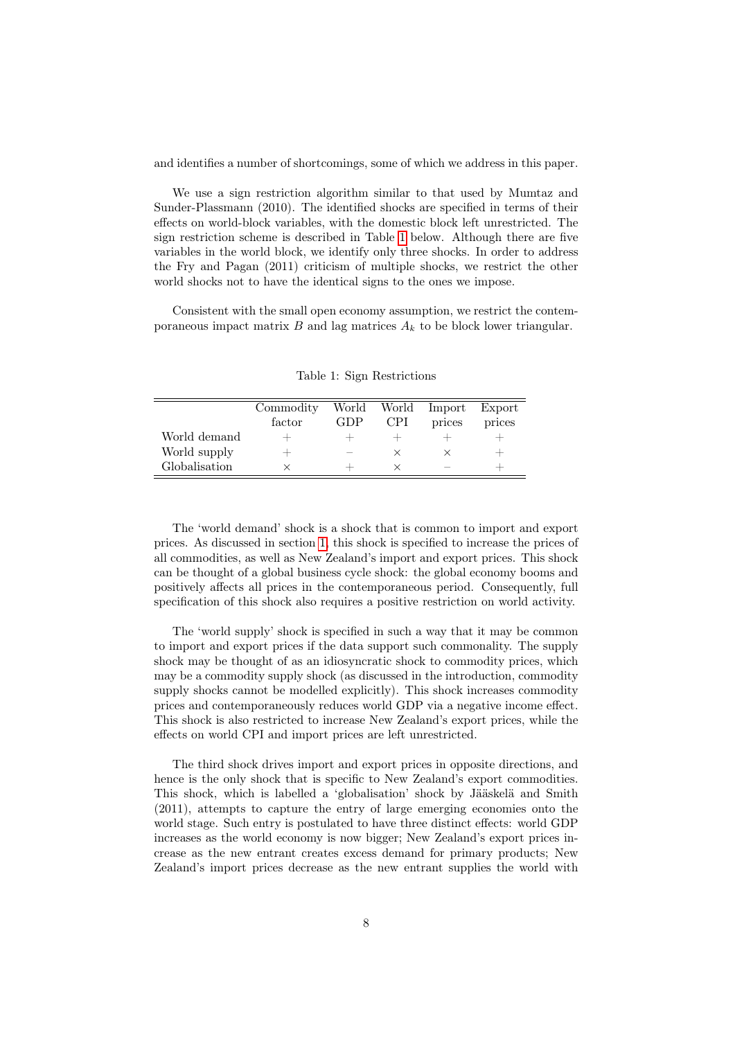and identifies a number of shortcomings, some of which we address in this paper.

We use a sign restriction algorithm similar to that used by Mumtaz and Sunder-Plassmann (2010). The identified shocks are specified in terms of their effects on world-block variables, with the domestic block left unrestricted. The sign restriction scheme is described in Table [1](#page-7-0) below. Although there are five variables in the world block, we identify only three shocks. In order to address the Fry and Pagan (2011) criticism of multiple shocks, we restrict the other world shocks not to have the identical signs to the ones we impose.

Consistent with the small open economy assumption, we restrict the contemporaneous impact matrix  $B$  and lag matrices  $A_k$  to be block lower triangular.

|               | Commodity<br>factor              | GDP                      | <b>CPI</b> | World World Import<br>prices | Export<br>prices                 |
|---------------|----------------------------------|--------------------------|------------|------------------------------|----------------------------------|
| World demand  | $\hspace{0.1mm} +\hspace{0.1mm}$ |                          |            |                              | $\hspace{0.1mm} +\hspace{0.1mm}$ |
| World supply  | $\overline{\phantom{0}}$         | $\overline{\phantom{a}}$ |            |                              | $\overline{\phantom{0}}$         |
| Globalisation |                                  |                          |            | _                            |                                  |

<span id="page-7-0"></span>Table 1: Sign Restrictions

The 'world demand' shock is a shock that is common to import and export prices. As discussed in section [1,](#page-1-0) this shock is specified to increase the prices of all commodities, as well as New Zealand's import and export prices. This shock can be thought of a global business cycle shock: the global economy booms and positively affects all prices in the contemporaneous period. Consequently, full specification of this shock also requires a positive restriction on world activity.

The 'world supply' shock is specified in such a way that it may be common to import and export prices if the data support such commonality. The supply shock may be thought of as an idiosyncratic shock to commodity prices, which may be a commodity supply shock (as discussed in the introduction, commodity supply shocks cannot be modelled explicitly). This shock increases commodity prices and contemporaneously reduces world GDP via a negative income effect. This shock is also restricted to increase New Zealand's export prices, while the effects on world CPI and import prices are left unrestricted.

The third shock drives import and export prices in opposite directions, and hence is the only shock that is specific to New Zealand's export commodities. This shock, which is labelled a 'globalisation' shock by Jääskelä and Smith (2011), attempts to capture the entry of large emerging economies onto the world stage. Such entry is postulated to have three distinct effects: world GDP increases as the world economy is now bigger; New Zealand's export prices increase as the new entrant creates excess demand for primary products; New Zealand's import prices decrease as the new entrant supplies the world with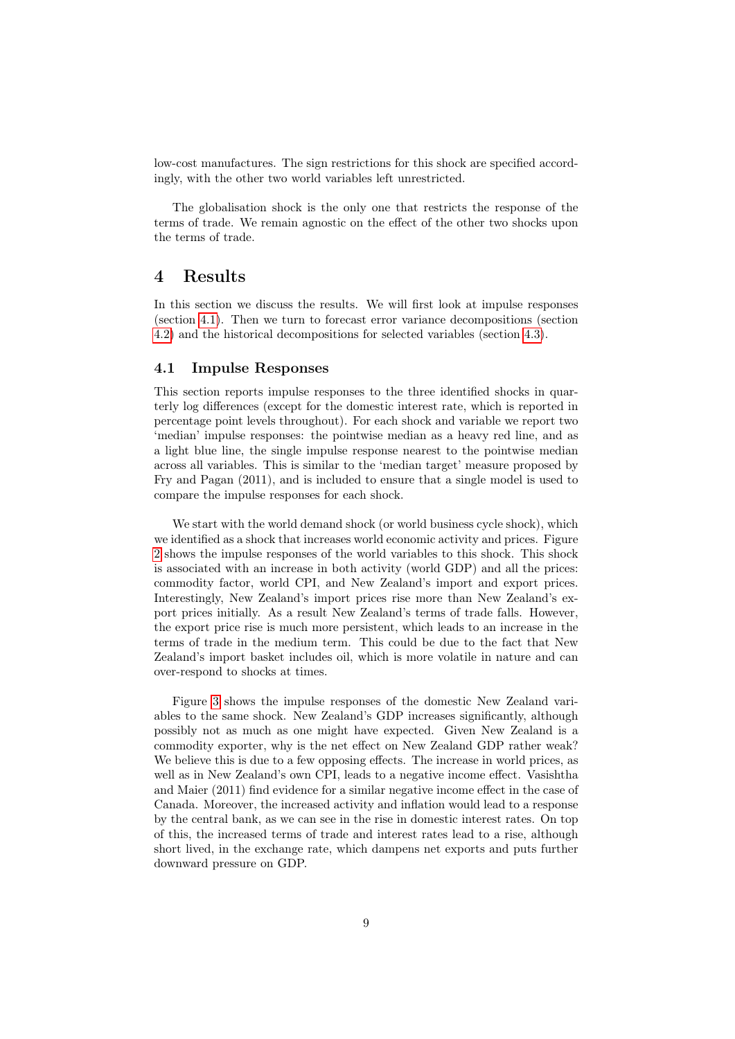low-cost manufactures. The sign restrictions for this shock are specified accordingly, with the other two world variables left unrestricted.

The globalisation shock is the only one that restricts the response of the terms of trade. We remain agnostic on the effect of the other two shocks upon the terms of trade.

### 4 Results

In this section we discuss the results. We will first look at impulse responses (section [4.1\)](#page-8-0). Then we turn to forecast error variance decompositions (section [4.2\)](#page-12-0) and the historical decompositions for selected variables (section [4.3\)](#page-15-0).

#### <span id="page-8-0"></span>4.1 Impulse Responses

This section reports impulse responses to the three identified shocks in quarterly log differences (except for the domestic interest rate, which is reported in percentage point levels throughout). For each shock and variable we report two 'median' impulse responses: the pointwise median as a heavy red line, and as a light blue line, the single impulse response nearest to the pointwise median across all variables. This is similar to the 'median target' measure proposed by Fry and Pagan (2011), and is included to ensure that a single model is used to compare the impulse responses for each shock.

We start with the world demand shock (or world business cycle shock), which we identified as a shock that increases world economic activity and prices. Figure [2](#page-9-0) shows the impulse responses of the world variables to this shock. This shock is associated with an increase in both activity (world GDP) and all the prices: commodity factor, world CPI, and New Zealand's import and export prices. Interestingly, New Zealand's import prices rise more than New Zealand's export prices initially. As a result New Zealand's terms of trade falls. However, the export price rise is much more persistent, which leads to an increase in the terms of trade in the medium term. This could be due to the fact that New Zealand's import basket includes oil, which is more volatile in nature and can over-respond to shocks at times.

Figure [3](#page-10-0) shows the impulse responses of the domestic New Zealand variables to the same shock. New Zealand's GDP increases significantly, although possibly not as much as one might have expected. Given New Zealand is a commodity exporter, why is the net effect on New Zealand GDP rather weak? We believe this is due to a few opposing effects. The increase in world prices, as well as in New Zealand's own CPI, leads to a negative income effect. Vasishtha and Maier (2011) find evidence for a similar negative income effect in the case of Canada. Moreover, the increased activity and inflation would lead to a response by the central bank, as we can see in the rise in domestic interest rates. On top of this, the increased terms of trade and interest rates lead to a rise, although short lived, in the exchange rate, which dampens net exports and puts further downward pressure on GDP.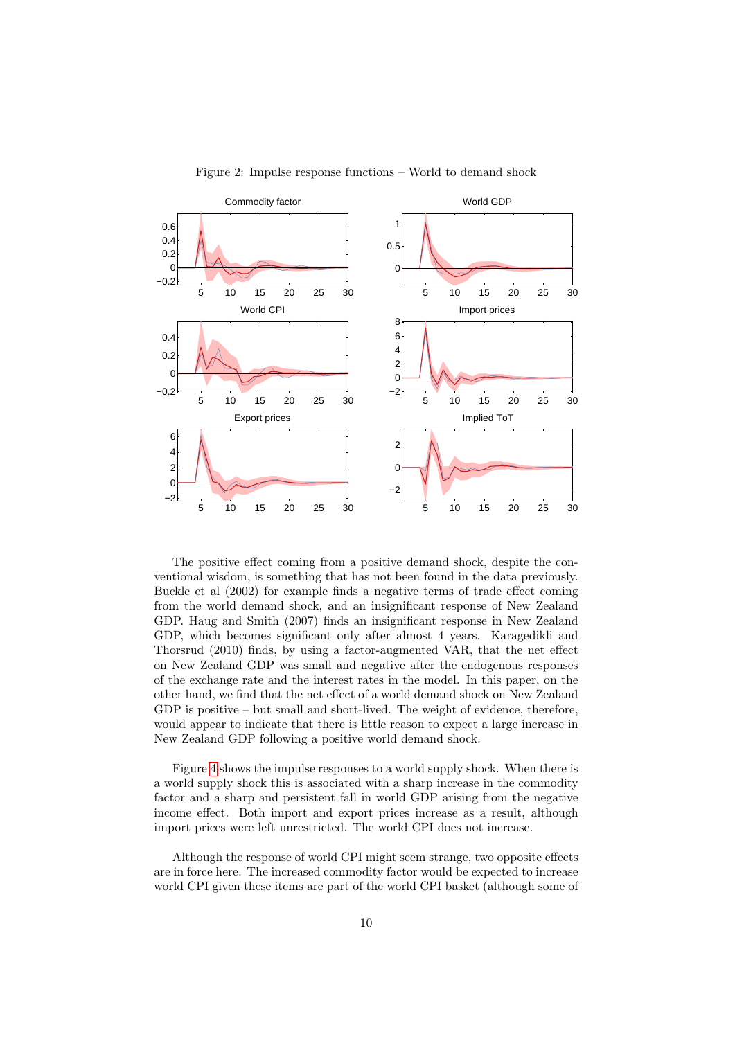

<span id="page-9-0"></span>Figure 2: Impulse response functions – World to demand shock

The positive effect coming from a positive demand shock, despite the conventional wisdom, is something that has not been found in the data previously. Buckle et al (2002) for example finds a negative terms of trade effect coming from the world demand shock, and an insignificant response of New Zealand GDP. Haug and Smith (2007) finds an insignificant response in New Zealand GDP, which becomes significant only after almost 4 years. Karagedikli and Thorsrud (2010) finds, by using a factor-augmented VAR, that the net effect on New Zealand GDP was small and negative after the endogenous responses of the exchange rate and the interest rates in the model. In this paper, on the other hand, we find that the net effect of a world demand shock on New Zealand GDP is positive – but small and short-lived. The weight of evidence, therefore, would appear to indicate that there is little reason to expect a large increase in New Zealand GDP following a positive world demand shock.

Figure [4](#page-11-0) shows the impulse responses to a world supply shock. When there is a world supply shock this is associated with a sharp increase in the commodity factor and a sharp and persistent fall in world GDP arising from the negative income effect. Both import and export prices increase as a result, although import prices were left unrestricted. The world CPI does not increase.

Although the response of world CPI might seem strange, two opposite effects are in force here. The increased commodity factor would be expected to increase world CPI given these items are part of the world CPI basket (although some of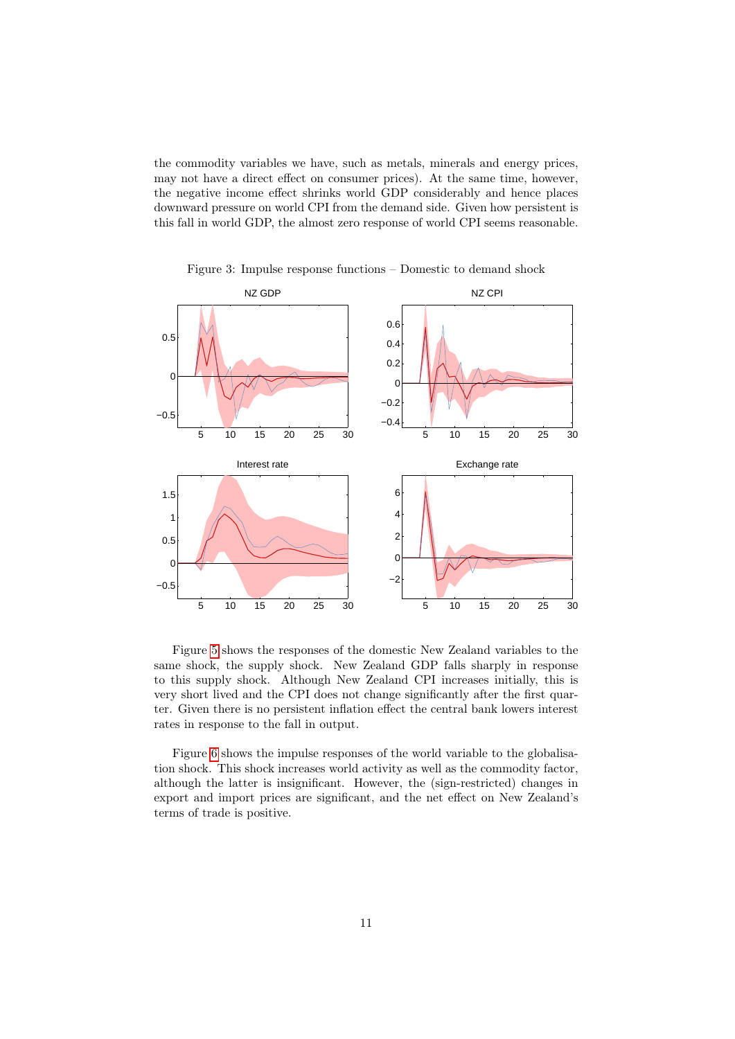the commodity variables we have, such as metals, minerals and energy prices, may not have a direct effect on consumer prices). At the same time, however, the negative income effect shrinks world GDP considerably and hence places downward pressure on world CPI from the demand side. Given how persistent is this fall in world GDP, the almost zero response of world CPI seems reasonable.



<span id="page-10-0"></span>Figure 3: Impulse response functions – Domestic to demand shock

Figure [5](#page-11-1) shows the responses of the domestic New Zealand variables to the same shock, the supply shock. New Zealand GDP falls sharply in response to this supply shock. Although New Zealand CPI increases initially, this is very short lived and the CPI does not change significantly after the first quarter. Given there is no persistent inflation effect the central bank lowers interest rates in response to the fall in output.

Figure [6](#page-12-1) shows the impulse responses of the world variable to the globalisation shock. This shock increases world activity as well as the commodity factor, although the latter is insignificant. However, the (sign-restricted) changes in export and import prices are significant, and the net effect on New Zealand's terms of trade is positive.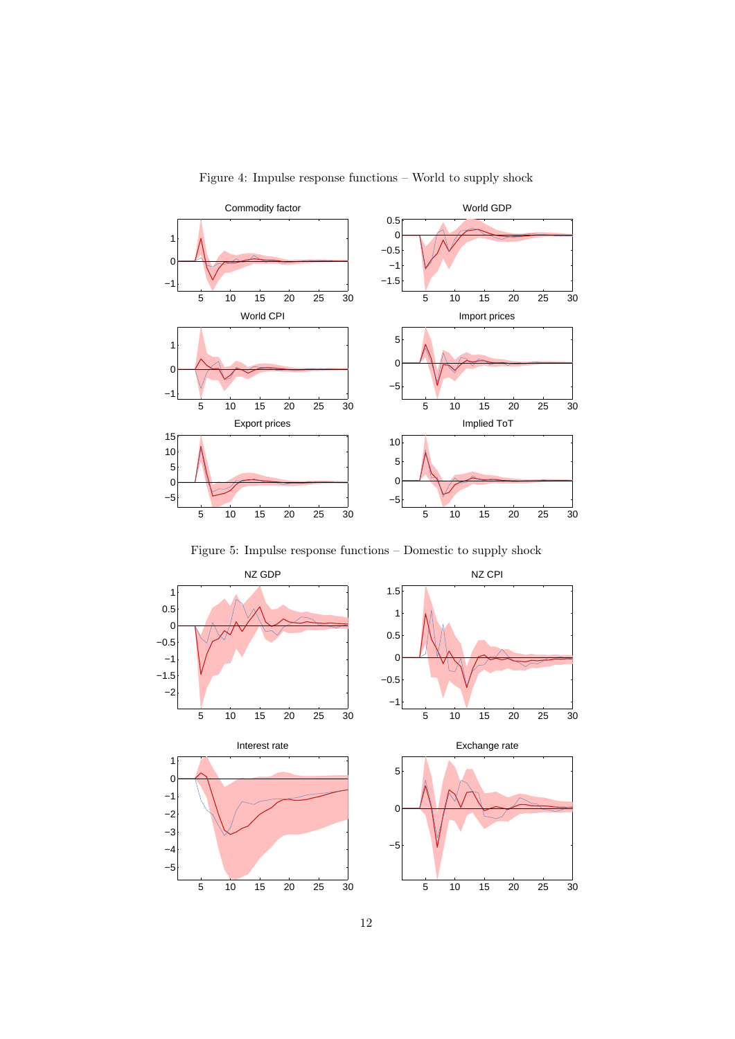

<span id="page-11-0"></span>Figure 4: Impulse response functions – World to supply shock

<span id="page-11-1"></span>Figure 5: Impulse response functions – Domestic to supply shock

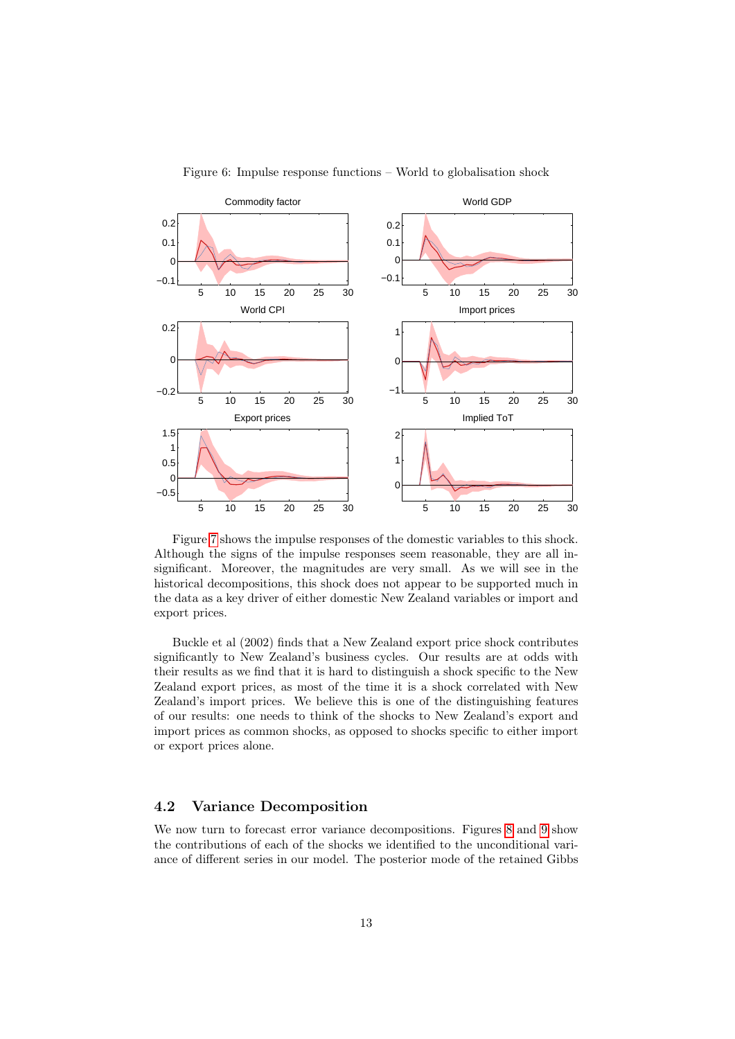

<span id="page-12-1"></span>Figure 6: Impulse response functions – World to globalisation shock

Figure [7](#page-13-0) shows the impulse responses of the domestic variables to this shock. Although the signs of the impulse responses seem reasonable, they are all insignificant. Moreover, the magnitudes are very small. As we will see in the historical decompositions, this shock does not appear to be supported much in the data as a key driver of either domestic New Zealand variables or import and export prices.

Buckle et al (2002) finds that a New Zealand export price shock contributes significantly to New Zealand's business cycles. Our results are at odds with their results as we find that it is hard to distinguish a shock specific to the New Zealand export prices, as most of the time it is a shock correlated with New Zealand's import prices. We believe this is one of the distinguishing features of our results: one needs to think of the shocks to New Zealand's export and import prices as common shocks, as opposed to shocks specific to either import or export prices alone.

### <span id="page-12-0"></span>4.2 Variance Decomposition

We now turn to forecast error variance decompositions. Figures [8](#page-14-0) and [9](#page-14-1) show the contributions of each of the shocks we identified to the unconditional variance of different series in our model. The posterior mode of the retained Gibbs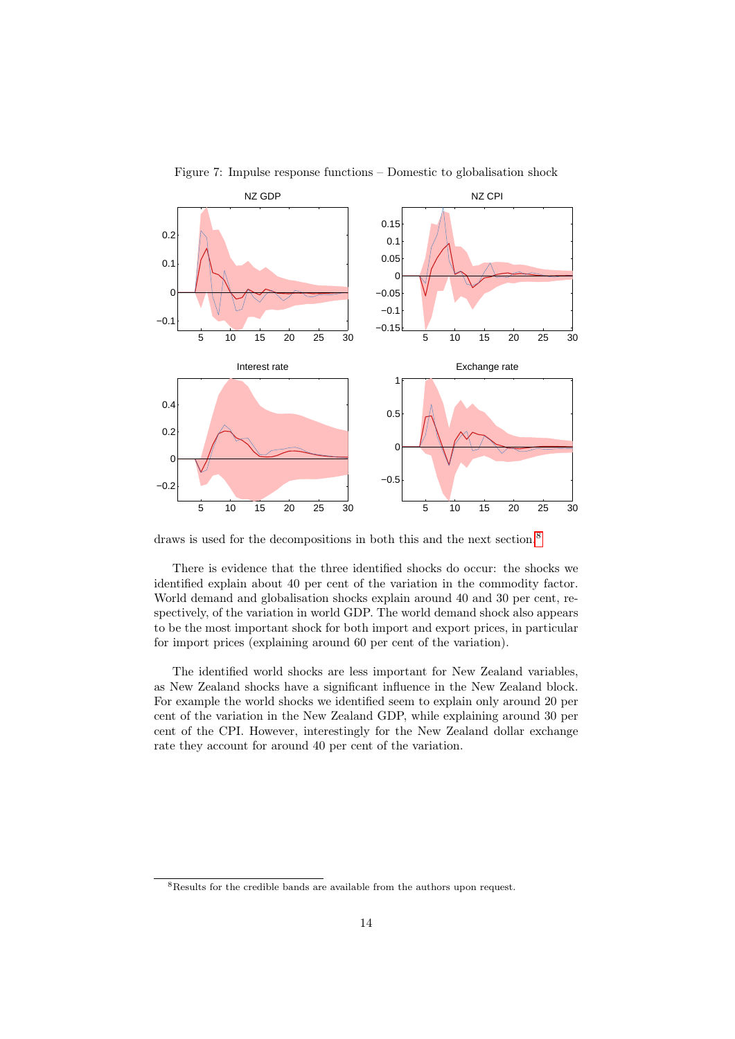

<span id="page-13-0"></span>Figure 7: Impulse response functions – Domestic to globalisation shock

draws is used for the decompositions in both this and the next section.<sup>[8](#page-0-0)</sup>

There is evidence that the three identified shocks do occur: the shocks we identified explain about 40 per cent of the variation in the commodity factor. World demand and globalisation shocks explain around 40 and 30 per cent, respectively, of the variation in world GDP. The world demand shock also appears to be the most important shock for both import and export prices, in particular for import prices (explaining around 60 per cent of the variation).

The identified world shocks are less important for New Zealand variables, as New Zealand shocks have a significant influence in the New Zealand block. For example the world shocks we identified seem to explain only around 20 per cent of the variation in the New Zealand GDP, while explaining around 30 per cent of the CPI. However, interestingly for the New Zealand dollar exchange rate they account for around 40 per cent of the variation.

<sup>&</sup>lt;sup>8</sup>Results for the credible bands are available from the authors upon request.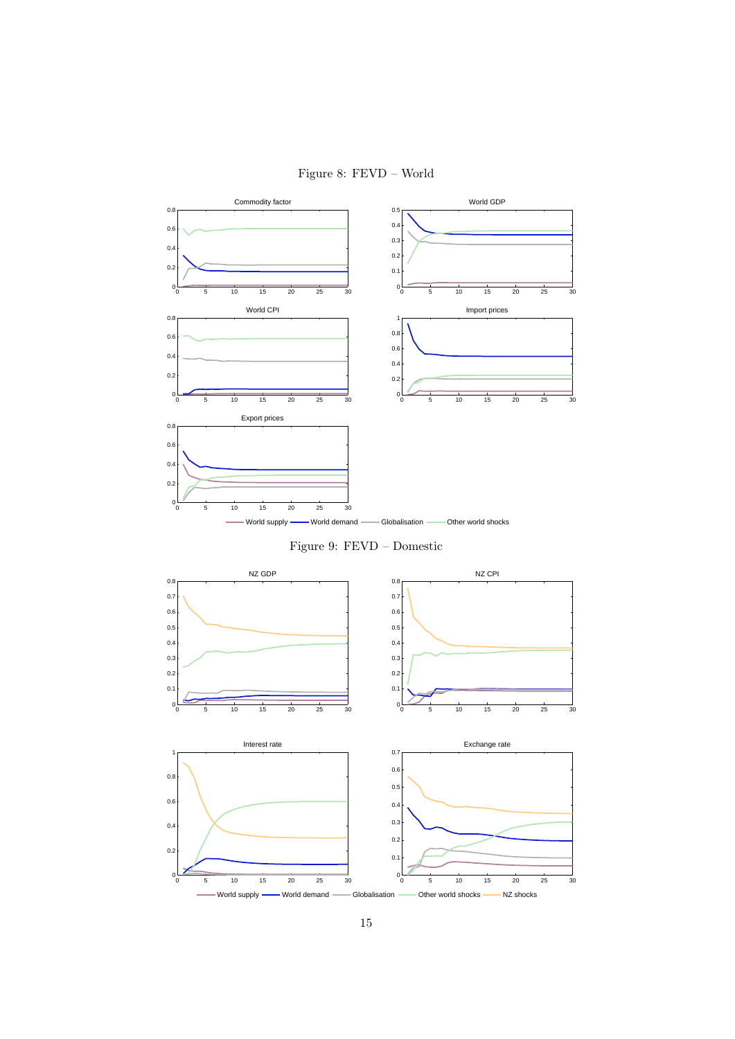## <span id="page-14-0"></span>Figure 8: FEVD – World



<span id="page-14-1"></span>Figure 9: FEVD – Domestic

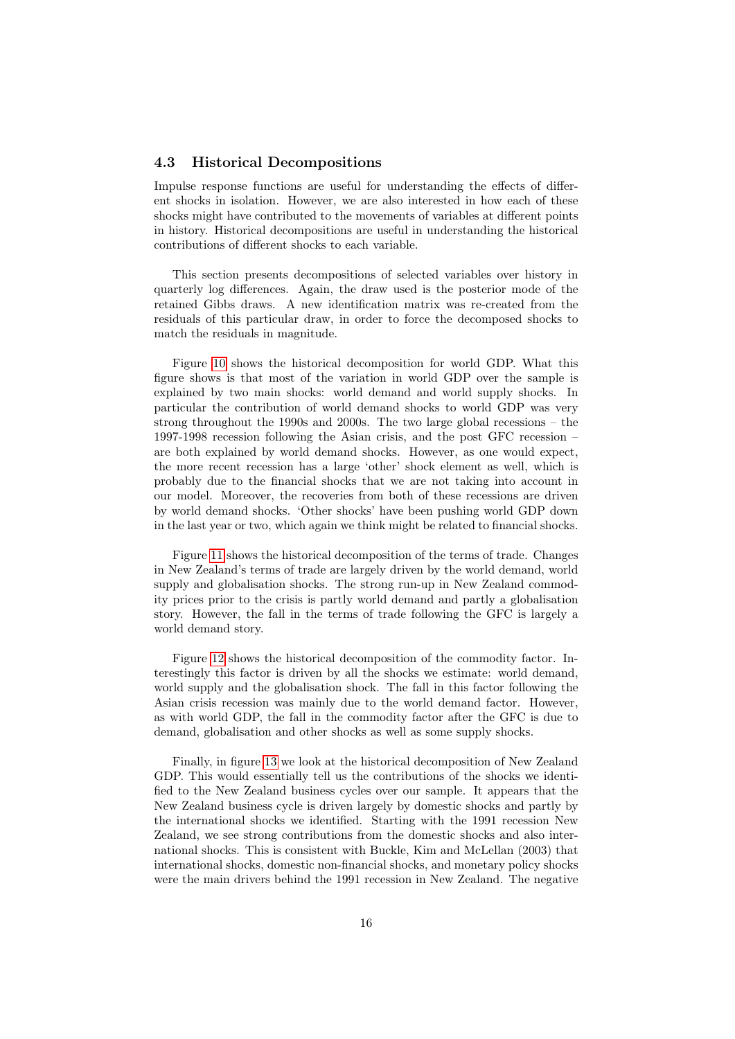### <span id="page-15-0"></span>4.3 Historical Decompositions

Impulse response functions are useful for understanding the effects of different shocks in isolation. However, we are also interested in how each of these shocks might have contributed to the movements of variables at different points in history. Historical decompositions are useful in understanding the historical contributions of different shocks to each variable.

This section presents decompositions of selected variables over history in quarterly log differences. Again, the draw used is the posterior mode of the retained Gibbs draws. A new identification matrix was re-created from the residuals of this particular draw, in order to force the decomposed shocks to match the residuals in magnitude.

Figure [10](#page-17-0) shows the historical decomposition for world GDP. What this figure shows is that most of the variation in world GDP over the sample is explained by two main shocks: world demand and world supply shocks. In particular the contribution of world demand shocks to world GDP was very strong throughout the 1990s and 2000s. The two large global recessions – the 1997-1998 recession following the Asian crisis, and the post GFC recession – are both explained by world demand shocks. However, as one would expect, the more recent recession has a large 'other' shock element as well, which is probably due to the financial shocks that we are not taking into account in our model. Moreover, the recoveries from both of these recessions are driven by world demand shocks. 'Other shocks' have been pushing world GDP down in the last year or two, which again we think might be related to financial shocks.

Figure [11](#page-18-0) shows the historical decomposition of the terms of trade. Changes in New Zealand's terms of trade are largely driven by the world demand, world supply and globalisation shocks. The strong run-up in New Zealand commodity prices prior to the crisis is partly world demand and partly a globalisation story. However, the fall in the terms of trade following the GFC is largely a world demand story.

Figure [12](#page-19-0) shows the historical decomposition of the commodity factor. Interestingly this factor is driven by all the shocks we estimate: world demand, world supply and the globalisation shock. The fall in this factor following the Asian crisis recession was mainly due to the world demand factor. However, as with world GDP, the fall in the commodity factor after the GFC is due to demand, globalisation and other shocks as well as some supply shocks.

Finally, in figure [13](#page-20-0) we look at the historical decomposition of New Zealand GDP. This would essentially tell us the contributions of the shocks we identified to the New Zealand business cycles over our sample. It appears that the New Zealand business cycle is driven largely by domestic shocks and partly by the international shocks we identified. Starting with the 1991 recession New Zealand, we see strong contributions from the domestic shocks and also international shocks. This is consistent with Buckle, Kim and McLellan (2003) that international shocks, domestic non-financial shocks, and monetary policy shocks were the main drivers behind the 1991 recession in New Zealand. The negative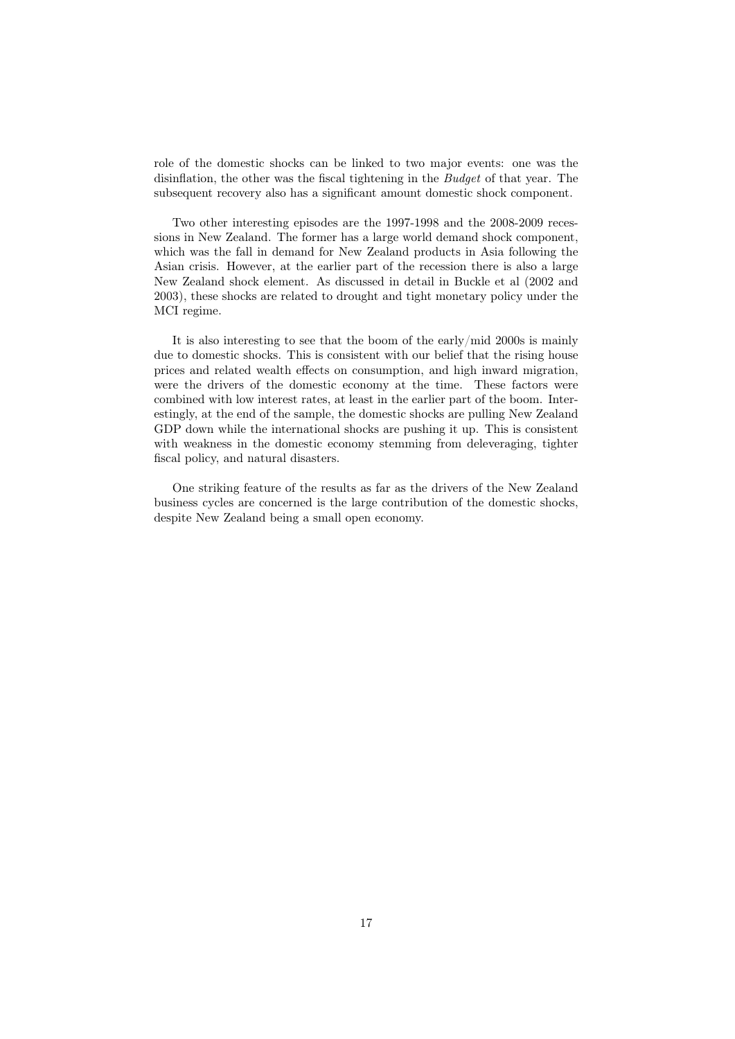role of the domestic shocks can be linked to two major events: one was the disinflation, the other was the fiscal tightening in the Budget of that year. The subsequent recovery also has a significant amount domestic shock component.

Two other interesting episodes are the 1997-1998 and the 2008-2009 recessions in New Zealand. The former has a large world demand shock component, which was the fall in demand for New Zealand products in Asia following the Asian crisis. However, at the earlier part of the recession there is also a large New Zealand shock element. As discussed in detail in Buckle et al (2002 and 2003), these shocks are related to drought and tight monetary policy under the MCI regime.

It is also interesting to see that the boom of the early/mid 2000s is mainly due to domestic shocks. This is consistent with our belief that the rising house prices and related wealth effects on consumption, and high inward migration, were the drivers of the domestic economy at the time. These factors were combined with low interest rates, at least in the earlier part of the boom. Interestingly, at the end of the sample, the domestic shocks are pulling New Zealand GDP down while the international shocks are pushing it up. This is consistent with weakness in the domestic economy stemming from deleveraging, tighter fiscal policy, and natural disasters.

One striking feature of the results as far as the drivers of the New Zealand business cycles are concerned is the large contribution of the domestic shocks, despite New Zealand being a small open economy.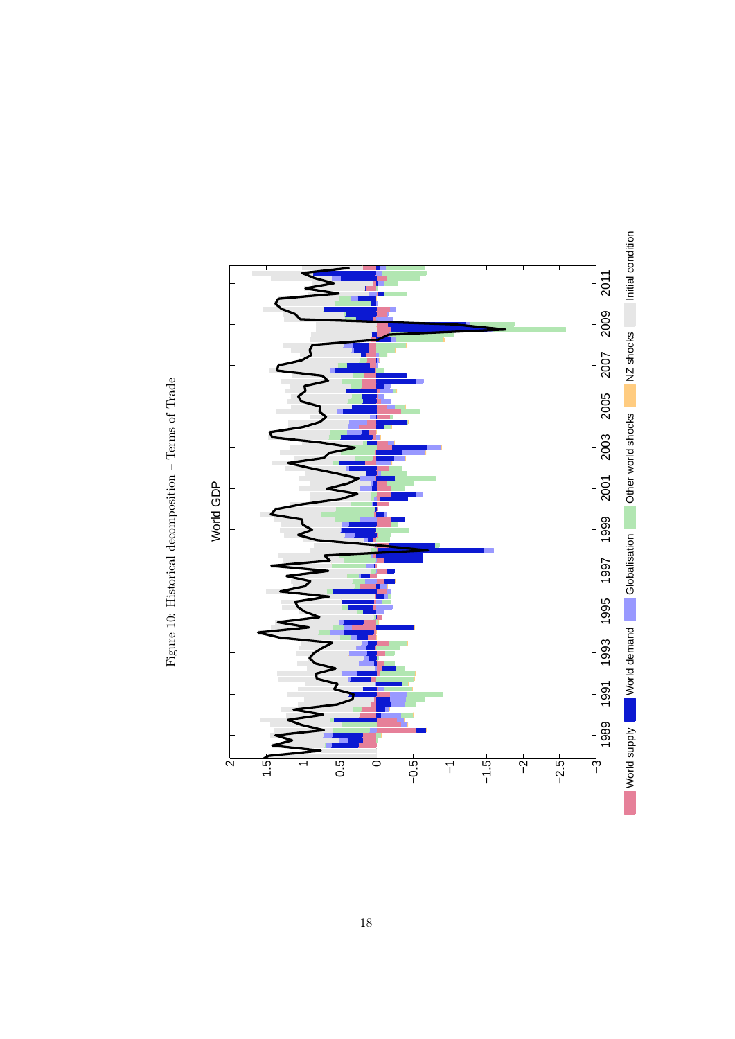<span id="page-17-0"></span>

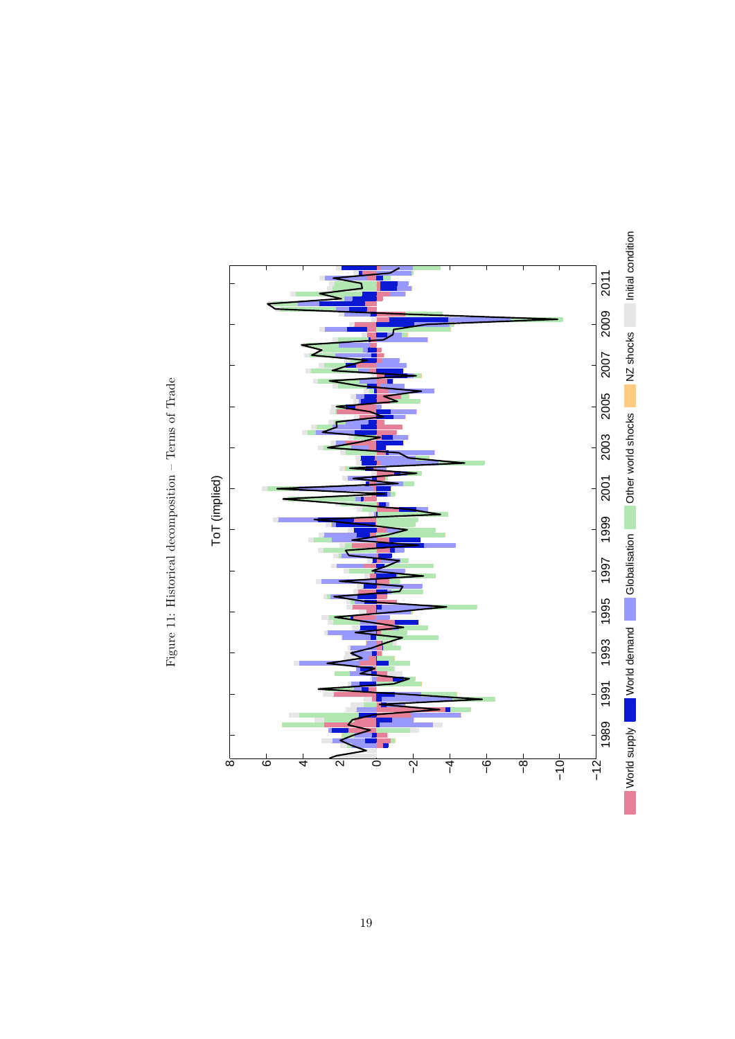<span id="page-18-0"></span>

Figure 11: Historical decomposition  $-$  Terms of Trade Figure 11: Historical decomposition – Terms of Trade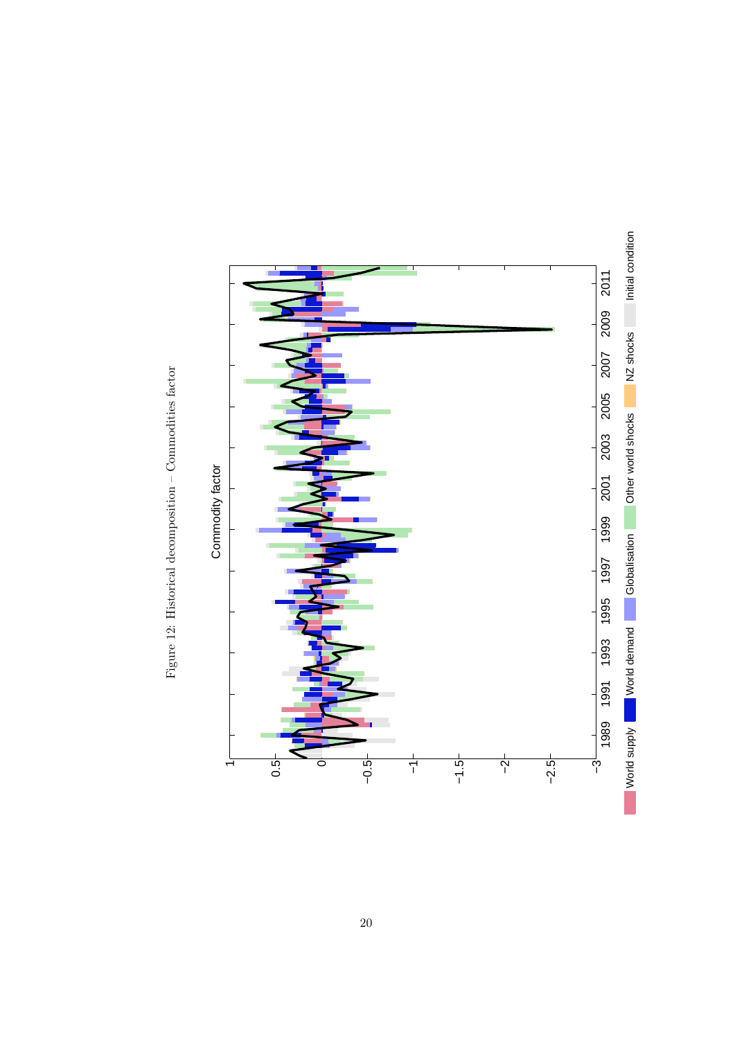<span id="page-19-0"></span>

Figure 12: Historical decomposition  $-$  Commodities factor Figure 12: Historical decomposition – Commodities factor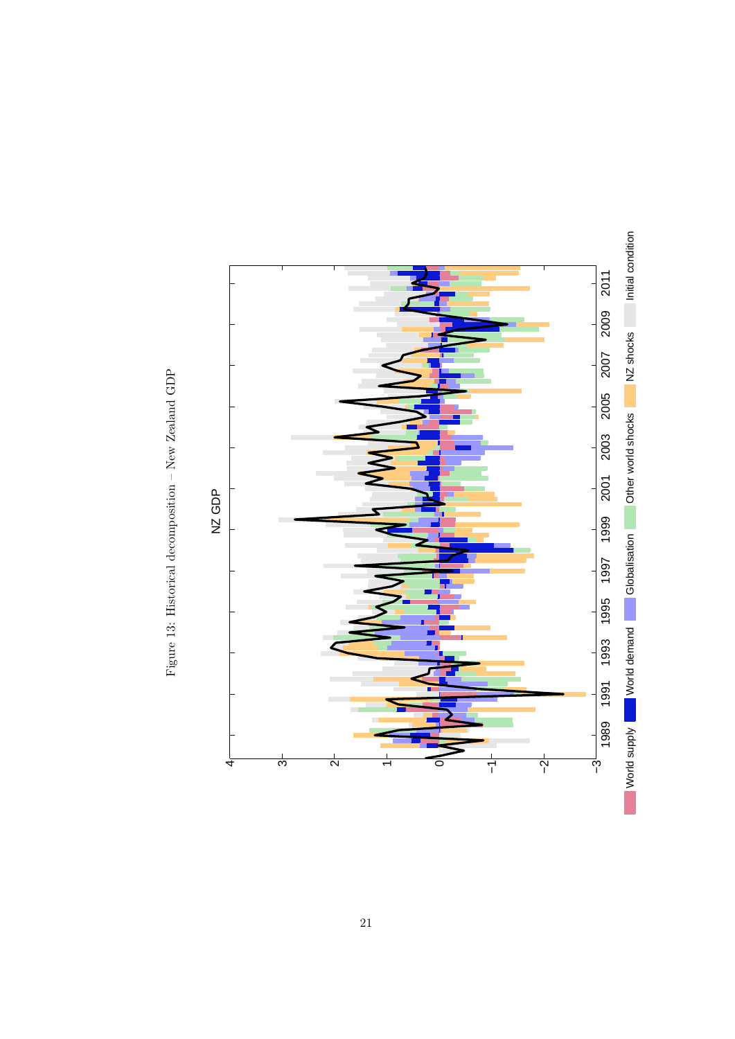<span id="page-20-0"></span>

Figure 13: Historical decomposition – New Zeal<br>and GDP  $\,$ Figure 13: Historical decomposition – New Zealand GDP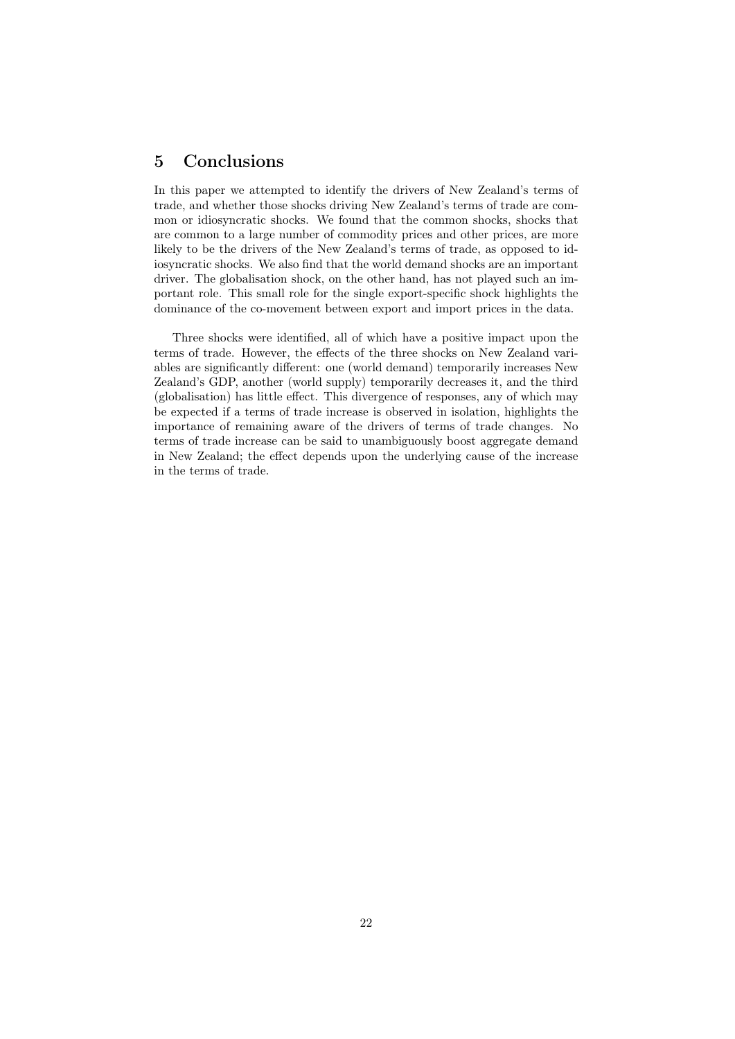## 5 Conclusions

In this paper we attempted to identify the drivers of New Zealand's terms of trade, and whether those shocks driving New Zealand's terms of trade are common or idiosyncratic shocks. We found that the common shocks, shocks that are common to a large number of commodity prices and other prices, are more likely to be the drivers of the New Zealand's terms of trade, as opposed to idiosyncratic shocks. We also find that the world demand shocks are an important driver. The globalisation shock, on the other hand, has not played such an important role. This small role for the single export-specific shock highlights the dominance of the co-movement between export and import prices in the data.

Three shocks were identified, all of which have a positive impact upon the terms of trade. However, the effects of the three shocks on New Zealand variables are significantly different: one (world demand) temporarily increases New Zealand's GDP, another (world supply) temporarily decreases it, and the third (globalisation) has little effect. This divergence of responses, any of which may be expected if a terms of trade increase is observed in isolation, highlights the importance of remaining aware of the drivers of terms of trade changes. No terms of trade increase can be said to unambiguously boost aggregate demand in New Zealand; the effect depends upon the underlying cause of the increase in the terms of trade.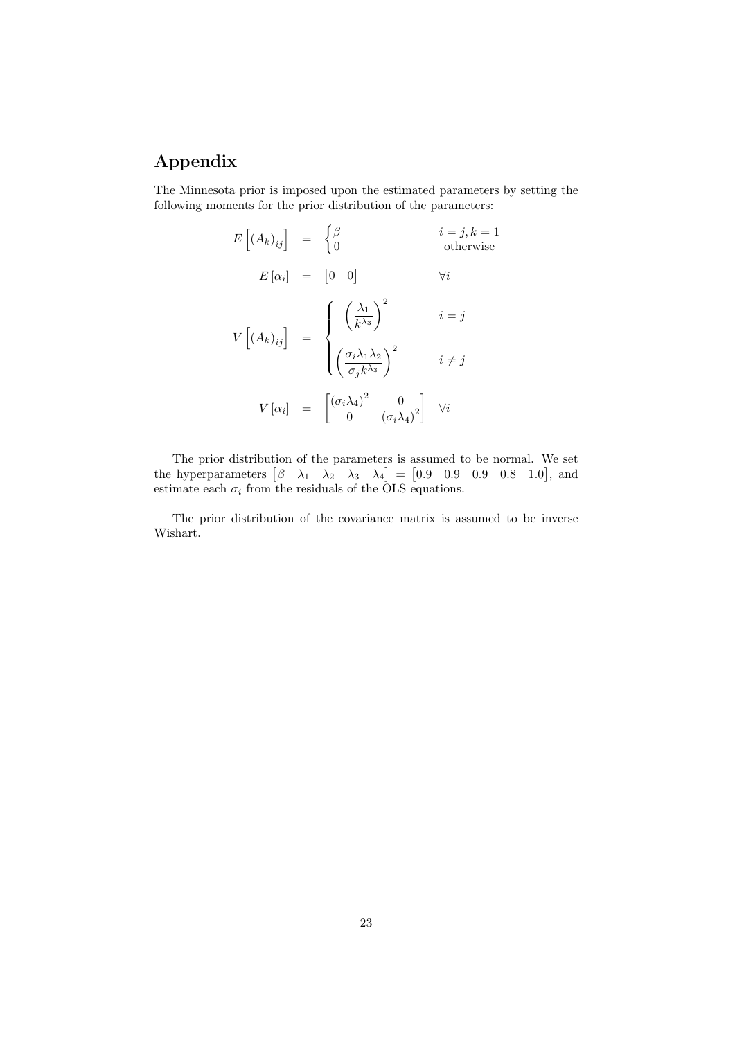# Appendix

The Minnesota prior is imposed upon the estimated parameters by setting the following moments for the prior distribution of the parameters:

$$
E\left[(A_k)_{ij}\right] = \begin{cases} \beta & i = j, k = 1 \\ 0 & \text{otherwise} \end{cases}
$$
  
\n
$$
E\left[\alpha_i\right] = \begin{bmatrix} 0 & 0 \end{bmatrix} \quad \forall i
$$
  
\n
$$
V\left[(A_k)_{ij}\right] = \begin{cases} \left(\frac{\lambda_1}{k^{\lambda_3}}\right)^2 & i = j \\ \left(\frac{\sigma_i \lambda_1 \lambda_2}{\sigma_j k^{\lambda_3}}\right)^2 & i \neq j \end{cases}
$$
  
\n
$$
V\left[\alpha_i\right] = \begin{bmatrix} \left(\frac{\sigma_i \lambda_1}{k^{\lambda_3}}\right)^2 & 0 \\ 0 & \left(\frac{\sigma_i \lambda_4}{k^{\lambda_3}}\right)^2 \end{bmatrix} \quad \forall i
$$

The prior distribution of the parameters is assumed to be normal. We set the hyperparameters  $\begin{bmatrix} \beta & \lambda_1 & \lambda_2 & \lambda_3 & \lambda_4 \end{bmatrix} = \begin{bmatrix} 0.9 & 0.9 & 0.9 & 0.8 & 1.0 \end{bmatrix}$ , and estimate each  $\sigma_i$  from the residuals of the OLS equations.

The prior distribution of the covariance matrix is assumed to be inverse Wishart.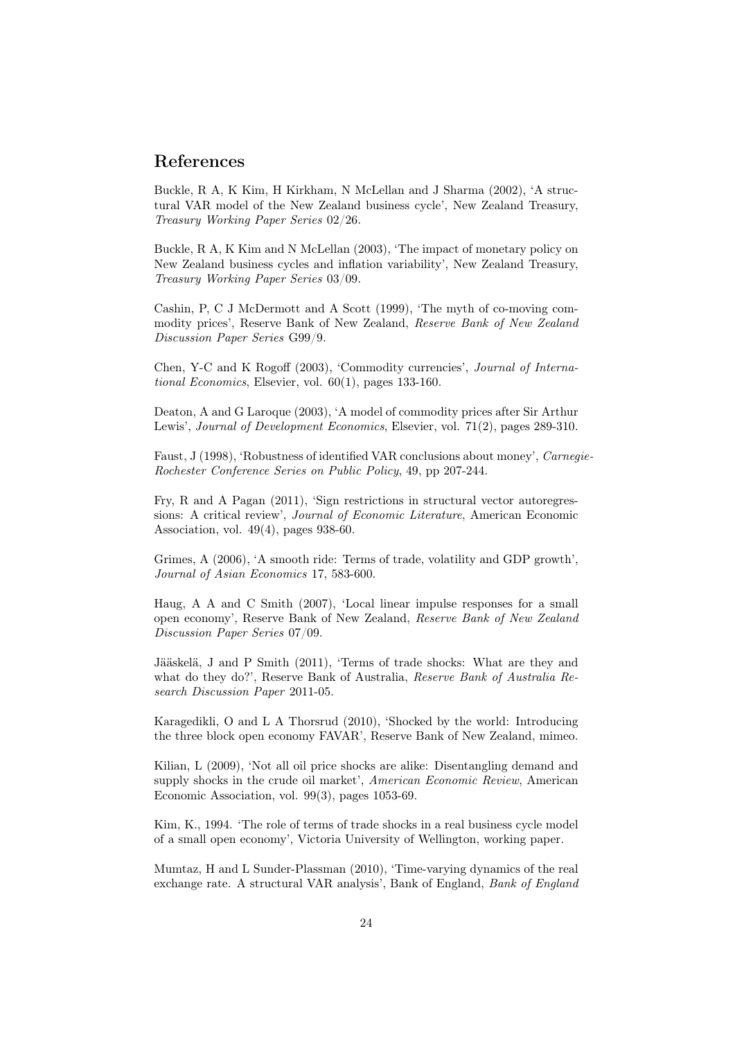### References

Buckle, R A, K Kim, H Kirkham, N McLellan and J Sharma (2002), 'A structural VAR model of the New Zealand business cycle', New Zealand Treasury, Treasury Working Paper Series 02/26.

Buckle, R A, K Kim and N McLellan (2003), 'The impact of monetary policy on New Zealand business cycles and inflation variability', New Zealand Treasury, Treasury Working Paper Series 03/09.

Cashin, P, C J McDermott and A Scott (1999), 'The myth of co-moving commodity prices', Reserve Bank of New Zealand, Reserve Bank of New Zealand Discussion Paper Series G99/9.

Chen, Y-C and K Rogoff (2003), 'Commodity currencies', Journal of International Economics, Elsevier, vol. 60(1), pages 133-160.

Deaton, A and G Laroque (2003), 'A model of commodity prices after Sir Arthur Lewis', *Journal of Development Economics*, Elsevier, vol. 71(2), pages 289-310.

Faust, J (1998), 'Robustness of identified VAR conclusions about money', Carnegie-Rochester Conference Series on Public Policy, 49, pp 207-244.

Fry, R and A Pagan (2011), 'Sign restrictions in structural vector autoregressions: A critical review', Journal of Economic Literature, American Economic Association, vol. 49(4), pages 938-60.

Grimes, A (2006), 'A smooth ride: Terms of trade, volatility and GDP growth', Journal of Asian Economics 17, 583-600.

Haug, A A and C Smith (2007), 'Local linear impulse responses for a small open economy', Reserve Bank of New Zealand, Reserve Bank of New Zealand Discussion Paper Series 07/09.

Jääskelä, J and P Smith (2011), 'Terms of trade shocks: What are they and what do they do?', Reserve Bank of Australia, Reserve Bank of Australia Research Discussion Paper 2011-05.

Karagedikli, O and L A Thorsrud (2010), 'Shocked by the world: Introducing the three block open economy FAVAR', Reserve Bank of New Zealand, mimeo.

Kilian, L (2009), 'Not all oil price shocks are alike: Disentangling demand and supply shocks in the crude oil market', American Economic Review, American Economic Association, vol. 99(3), pages 1053-69.

Kim, K., 1994. 'The role of terms of trade shocks in a real business cycle model of a small open economy', Victoria University of Wellington, working paper.

Mumtaz, H and L Sunder-Plassman (2010), 'Time-varying dynamics of the real exchange rate. A structural VAR analysis', Bank of England, Bank of England